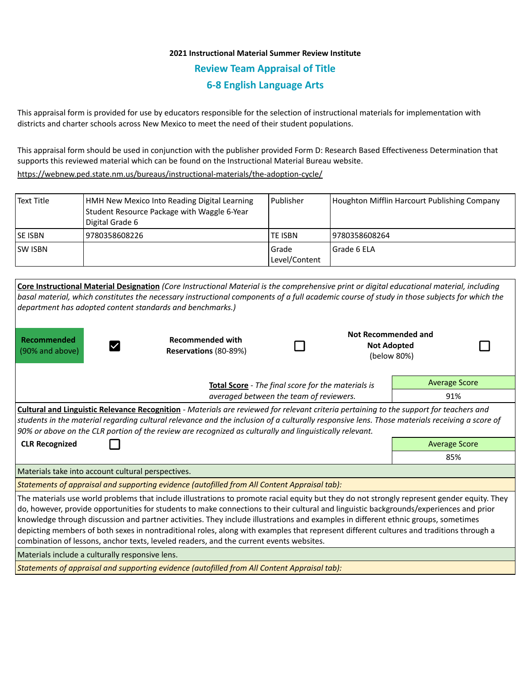# **2021 Instructional Material Summer Review Institute Review Team Appraisal of Title 6-8 English Language Arts**

This appraisal form is provided for use by educators responsible for the selection of instructional materials for implementation with districts and charter schools across New Mexico to meet the need of their student populations.

This appraisal form should be used in conjunction with the publisher provided Form D: Research Based Effectiveness Determination that supports this reviewed material which can be found on the Instructional Material Bureau website.

<https://webnew.ped.state.nm.us/bureaus/instructional-materials/the-adoption-cycle/>

| Text Title      | HMH New Mexico Into Reading Digital Learning<br>Student Resource Package with Waggle 6-Year<br>Digital Grade 6 | l Publisher              | Houghton Mifflin Harcourt Publishing Company |
|-----------------|----------------------------------------------------------------------------------------------------------------|--------------------------|----------------------------------------------|
| <b>ISE ISBN</b> | 9780358608226                                                                                                  | TE ISBN                  | 19780358608264                               |
| <b>ISW ISBN</b> |                                                                                                                | l Grade<br>Level/Content | Grade 6 ELA                                  |

| Core Instructional Material Designation (Core Instructional Material is the comprehensive print or digital educational material, including<br>basal material, which constitutes the necessary instructional components of a full academic course of study in those subjects for which the<br>department has adopted content standards and benchmarks.)                                                                                                                                                                                                                                                                                                            |                                                  |  |                                                          |                      |  |  |  |  |  |
|-------------------------------------------------------------------------------------------------------------------------------------------------------------------------------------------------------------------------------------------------------------------------------------------------------------------------------------------------------------------------------------------------------------------------------------------------------------------------------------------------------------------------------------------------------------------------------------------------------------------------------------------------------------------|--------------------------------------------------|--|----------------------------------------------------------|----------------------|--|--|--|--|--|
| Recommended<br>(90% and above)                                                                                                                                                                                                                                                                                                                                                                                                                                                                                                                                                                                                                                    | <b>Recommended with</b><br>Reservations (80-89%) |  | Not Recommended and<br><b>Not Adopted</b><br>(below 80%) |                      |  |  |  |  |  |
| <b>Total Score</b> - The final score for the materials is<br>averaged between the team of reviewers.                                                                                                                                                                                                                                                                                                                                                                                                                                                                                                                                                              |                                                  |  |                                                          | <b>Average Score</b> |  |  |  |  |  |
|                                                                                                                                                                                                                                                                                                                                                                                                                                                                                                                                                                                                                                                                   |                                                  |  |                                                          | 91%                  |  |  |  |  |  |
| <b>Cultural and Linguistic Relevance Recognition</b> - Materials are reviewed for relevant criteria pertaining to the support for teachers and<br>students in the material regarding cultural relevance and the inclusion of a culturally responsive lens. Those materials receiving a score of<br>90% or above on the CLR portion of the review are recognized as culturally and linguistically relevant.                                                                                                                                                                                                                                                        |                                                  |  |                                                          |                      |  |  |  |  |  |
| <b>CLR Recognized</b>                                                                                                                                                                                                                                                                                                                                                                                                                                                                                                                                                                                                                                             |                                                  |  |                                                          | <b>Average Score</b> |  |  |  |  |  |
|                                                                                                                                                                                                                                                                                                                                                                                                                                                                                                                                                                                                                                                                   |                                                  |  |                                                          | 85%                  |  |  |  |  |  |
| Materials take into account cultural perspectives.                                                                                                                                                                                                                                                                                                                                                                                                                                                                                                                                                                                                                |                                                  |  |                                                          |                      |  |  |  |  |  |
| Statements of appraisal and supporting evidence (autofilled from All Content Appraisal tab):                                                                                                                                                                                                                                                                                                                                                                                                                                                                                                                                                                      |                                                  |  |                                                          |                      |  |  |  |  |  |
| The materials use world problems that include illustrations to promote racial equity but they do not strongly represent gender equity. They<br>do, however, provide opportunities for students to make connections to their cultural and linguistic backgrounds/experiences and prior<br>knowledge through discussion and partner activities. They include illustrations and examples in different ethnic groups, sometimes<br>depicting members of both sexes in nontraditional roles, along with examples that represent different cultures and traditions through a<br>combination of lessons, anchor texts, leveled readers, and the current events websites. |                                                  |  |                                                          |                      |  |  |  |  |  |
| Materials include a culturally responsive lens.                                                                                                                                                                                                                                                                                                                                                                                                                                                                                                                                                                                                                   |                                                  |  |                                                          |                      |  |  |  |  |  |
| Statements of appraisal and supporting evidence (autofilled from All Content Appraisal tab):                                                                                                                                                                                                                                                                                                                                                                                                                                                                                                                                                                      |                                                  |  |                                                          |                      |  |  |  |  |  |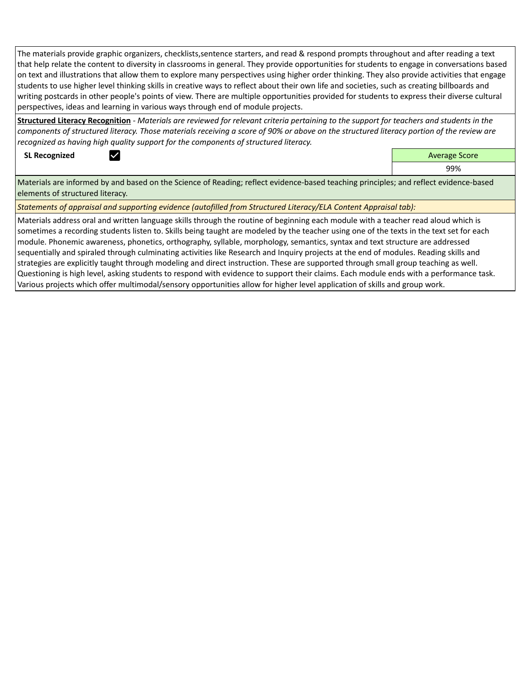The materials provide graphic organizers, checklists,sentence starters, and read & respond prompts throughout and after reading a text that help relate the content to diversity in classrooms in general. They provide opportunities for students to engage in conversations based on text and illustrations that allow them to explore many perspectives using higher order thinking. They also provide activities that engage students to use higher level thinking skills in creative ways to reflect about their own life and societies, such as creating billboards and writing postcards in other people's points of view. There are multiple opportunities provided for students to express their diverse cultural perspectives, ideas and learning in various ways through end of module projects.

**Structured Literacy Recognition** *- Materials are reviewed for relevant criteria pertaining to the support for teachers and students in the components of structured literacy. Those materials receiving a score of 90% or above on the structured literacy portion of the review are recognized as having high quality support for the components of structured literacy.*

**SL Recognized Average Score** Average Score and Average Score and Average Score and Average Score and Average Score

99%

Materials are informed by and based on the Science of Reading; reflect evidence-based teaching principles; and reflect evidence-based elements of structured literacy.

*Statements of appraisal and supporting evidence (autofilled from Structured Literacy/ELA Content Appraisal tab):* 

Materials address oral and written language skills through the routine of beginning each module with a teacher read aloud which is sometimes a recording students listen to. Skills being taught are modeled by the teacher using one of the texts in the text set for each module. Phonemic awareness, phonetics, orthography, syllable, morphology, semantics, syntax and text structure are addressed sequentially and spiraled through culminating activities like Research and Inquiry projects at the end of modules. Reading skills and strategies are explicitly taught through modeling and direct instruction. These are supported through small group teaching as well. Questioning is high level, asking students to respond with evidence to support their claims. Each module ends with a performance task. Various projects which offer multimodal/sensory opportunities allow for higher level application of skills and group work.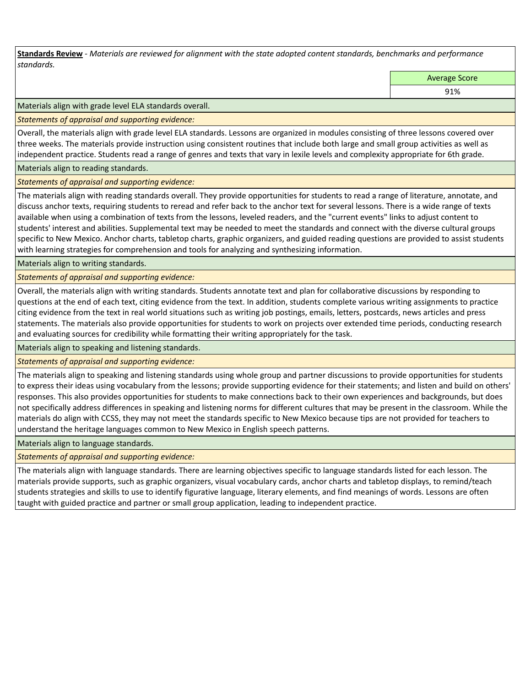**Standards Review** *- Materials are reviewed for alignment with the state adopted content standards, benchmarks and performance standards.*

Average Score

91%

Materials align with grade level ELA standards overall.

*Statements of appraisal and supporting evidence:* 

Overall, the materials align with grade level ELA standards. Lessons are organized in modules consisting of three lessons covered over three weeks. The materials provide instruction using consistent routines that include both large and small group activities as well as independent practice. Students read a range of genres and texts that vary in lexile levels and complexity appropriate for 6th grade.

Materials align to reading standards.

#### *Statements of appraisal and supporting evidence:*

The materials align with reading standards overall. They provide opportunities for students to read a range of literature, annotate, and discuss anchor texts, requiring students to reread and refer back to the anchor text for several lessons. There is a wide range of texts available when using a combination of texts from the lessons, leveled readers, and the "current events" links to adjust content to students' interest and abilities. Supplemental text may be needed to meet the standards and connect with the diverse cultural groups specific to New Mexico. Anchor charts, tabletop charts, graphic organizers, and guided reading questions are provided to assist students with learning strategies for comprehension and tools for analyzing and synthesizing information.

Materials align to writing standards.

*Statements of appraisal and supporting evidence:* 

Overall, the materials align with writing standards. Students annotate text and plan for collaborative discussions by responding to questions at the end of each text, citing evidence from the text. In addition, students complete various writing assignments to practice citing evidence from the text in real world situations such as writing job postings, emails, letters, postcards, news articles and press statements. The materials also provide opportunities for students to work on projects over extended time periods, conducting research and evaluating sources for credibility while formatting their writing appropriately for the task.

Materials align to speaking and listening standards.

*Statements of appraisal and supporting evidence:* 

The materials align to speaking and listening standards using whole group and partner discussions to provide opportunities for students to express their ideas using vocabulary from the lessons; provide supporting evidence for their statements; and listen and build on others' responses. This also provides opportunities for students to make connections back to their own experiences and backgrounds, but does not specifically address differences in speaking and listening norms for different cultures that may be present in the classroom. While the materials do align with CCSS, they may not meet the standards specific to New Mexico because tips are not provided for teachers to understand the heritage languages common to New Mexico in English speech patterns.

Materials align to language standards.

*Statements of appraisal and supporting evidence:* 

The materials align with language standards. There are learning objectives specific to language standards listed for each lesson. The materials provide supports, such as graphic organizers, visual vocabulary cards, anchor charts and tabletop displays, to remind/teach students strategies and skills to use to identify figurative language, literary elements, and find meanings of words. Lessons are often taught with guided practice and partner or small group application, leading to independent practice.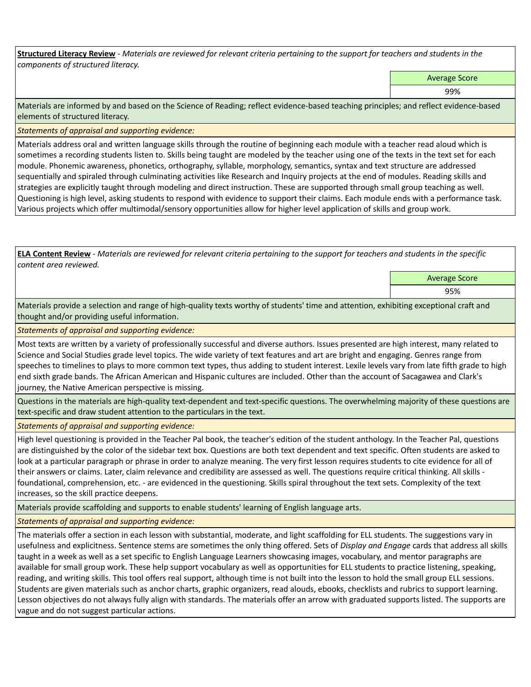**Structured Literacy Review** *- Materials are reviewed for relevant criteria pertaining to the support for teachers and students in the components of structured literacy.*

Average Score

99%

Materials are informed by and based on the Science of Reading; reflect evidence-based teaching principles; and reflect evidence-based elements of structured literacy.

*Statements of appraisal and supporting evidence:*

Materials address oral and written language skills through the routine of beginning each module with a teacher read aloud which is sometimes a recording students listen to. Skills being taught are modeled by the teacher using one of the texts in the text set for each module. Phonemic awareness, phonetics, orthography, syllable, morphology, semantics, syntax and text structure are addressed sequentially and spiraled through culminating activities like Research and Inquiry projects at the end of modules. Reading skills and strategies are explicitly taught through modeling and direct instruction. These are supported through small group teaching as well. Questioning is high level, asking students to respond with evidence to support their claims. Each module ends with a performance task. Various projects which offer multimodal/sensory opportunities allow for higher level application of skills and group work.

**ELA Content Review** *- Materials are reviewed for relevant criteria pertaining to the support for teachers and students in the specific content area reviewed.*

Average Score

95%

Materials provide a selection and range of high-quality texts worthy of students' time and attention, exhibiting exceptional craft and thought and/or providing useful information.

*Statements of appraisal and supporting evidence:* 

Most texts are written by a variety of professionally successful and diverse authors. Issues presented are high interest, many related to Science and Social Studies grade level topics. The wide variety of text features and art are bright and engaging. Genres range from speeches to timelines to plays to more common text types, thus adding to student interest. Lexile levels vary from late fifth grade to high end sixth grade bands. The African American and Hispanic cultures are included. Other than the account of Sacagawea and Clark's journey, the Native American perspective is missing.

Questions in the materials are high-quality text-dependent and text-specific questions. The overwhelming majority of these questions are text-specific and draw student attention to the particulars in the text.

*Statements of appraisal and supporting evidence:* 

High level questioning is provided in the Teacher Pal book, the teacher's edition of the student anthology. In the Teacher Pal, questions are distinguished by the color of the sidebar text box. Questions are both text dependent and text specific. Often students are asked to look at a particular paragraph or phrase in order to analyze meaning. The very first lesson requires students to cite evidence for all of their answers or claims. Later, claim relevance and credibility are assessed as well. The questions require critical thinking. All skills foundational, comprehension, etc. - are evidenced in the questioning. Skills spiral throughout the text sets. Complexity of the text increases, so the skill practice deepens.

Materials provide scaffolding and supports to enable students' learning of English language arts.

*Statements of appraisal and supporting evidence:* 

The materials offer a section in each lesson with substantial, moderate, and light scaffolding for ELL students. The suggestions vary in usefulness and explicitness. Sentence stems are sometimes the only thing offered. Sets of *Display and Engage* cards that address all skills taught in a week as well as a set specific to English Language Learners showcasing images, vocabulary, and mentor paragraphs are available for small group work. These help support vocabulary as well as opportunities for ELL students to practice listening, speaking, reading, and writing skills. This tool offers real support, although time is not built into the lesson to hold the small group ELL sessions. Students are given materials such as anchor charts, graphic organizers, read alouds, ebooks, checklists and rubrics to support learning. Lesson objectives do not always fully align with standards. The materials offer an arrow with graduated supports listed. The supports are vague and do not suggest particular actions.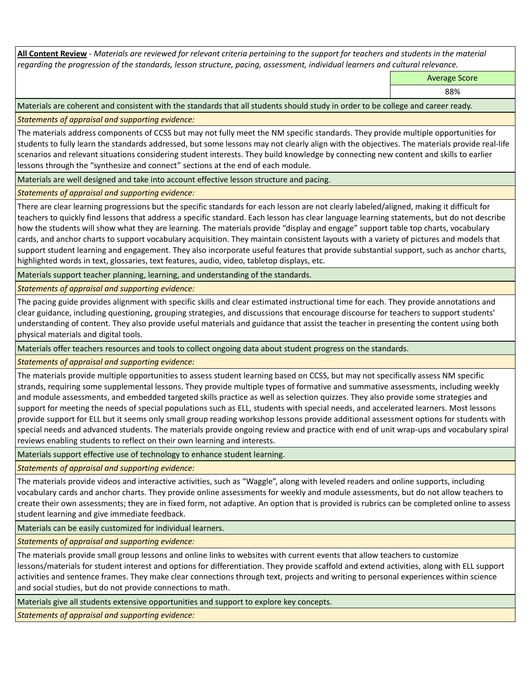**All Content Review** *- Materials are reviewed for relevant criteria pertaining to the support for teachers and students in the material regarding the progression of the standards, lesson structure, pacing, assessment, individual learners and cultural relevance.*

Average Score

88%

Materials are coherent and consistent with the standards that all students should study in order to be college and career ready.

*Statements of appraisal and supporting evidence:*

The materials address components of CCSS but may not fully meet the NM specific standards. They provide multiple opportunities for students to fully learn the standards addressed, but some lessons may not clearly align with the objectives. The materials provide real-life scenarios and relevant situations considering student interests. They build knowledge by connecting new content and skills to earlier lessons through the "synthesize and connect" sections at the end of each module.

Materials are well designed and take into account effective lesson structure and pacing.

*Statements of appraisal and supporting evidence:*

There are clear learning progressions but the specific standards for each lesson are not clearly labeled/aligned, making it difficult for teachers to quickly find lessons that address a specific standard. Each lesson has clear language learning statements, but do not describe how the students will show what they are learning. The materials provide "display and engage" support table top charts, vocabulary cards, and anchor charts to support vocabulary acquisition. They maintain consistent layouts with a variety of pictures and models that support student learning and engagement. They also incorporate useful features that provide substantial support, such as anchor charts, highlighted words in text, glossaries, text features, audio, video, tabletop displays, etc.

Materials support teacher planning, learning, and understanding of the standards.

*Statements of appraisal and supporting evidence:*

The pacing guide provides alignment with specific skills and clear estimated instructional time for each. They provide annotations and clear guidance, including questioning, grouping strategies, and discussions that encourage discourse for teachers to support students' understanding of content. They also provide useful materials and guidance that assist the teacher in presenting the content using both physical materials and digital tools.

Materials offer teachers resources and tools to collect ongoing data about student progress on the standards.

*Statements of appraisal and supporting evidence:*

The materials provide multiple opportunities to assess student learning based on CCSS, but may not specifically assess NM specific strands, requiring some supplemental lessons. They provide multiple types of formative and summative assessments, including weekly and module assessments, and embedded targeted skills practice as well as selection quizzes. They also provide some strategies and support for meeting the needs of special populations such as ELL, students with special needs, and accelerated learners. Most lessons provide support for ELL but it seems only small group reading workshop lessons provide additional assessment options for students with special needs and advanced students. The materials provide ongoing review and practice with end of unit wrap-ups and vocabulary spiral reviews enabling students to reflect on their own learning and interests.

Materials support effective use of technology to enhance student learning.

*Statements of appraisal and supporting evidence:*

The materials provide videos and interactive activities, such as "Waggle", along with leveled readers and online supports, including vocabulary cards and anchor charts. They provide online assessments for weekly and module assessments, but do not allow teachers to create their own assessments; they are in fixed form, not adaptive. An option that is provided is rubrics can be completed online to assess student learning and give immediate feedback.

Materials can be easily customized for individual learners.

*Statements of appraisal and supporting evidence:* 

The materials provide small group lessons and online links to websites with current events that allow teachers to customize lessons/materials for student interest and options for differentiation. They provide scaffold and extend activities, along with ELL support activities and sentence frames. They make clear connections through text, projects and writing to personal experiences within science and social studies, but do not provide connections to math.

Materials give all students extensive opportunities and support to explore key concepts.

*Statements of appraisal and supporting evidence:*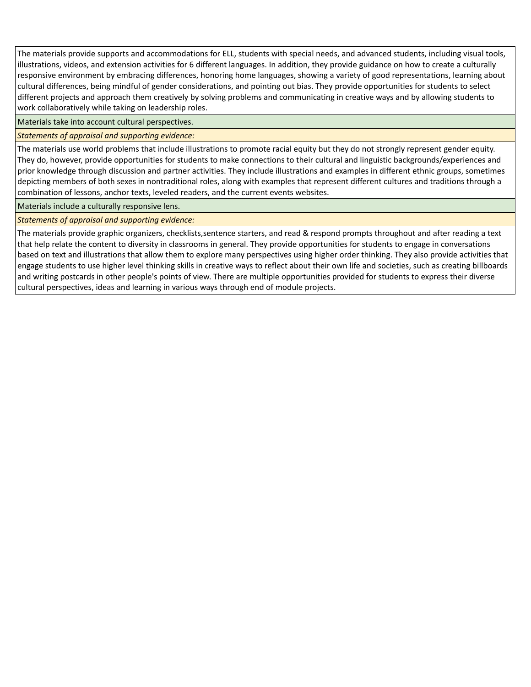The materials provide supports and accommodations for ELL, students with special needs, and advanced students, including visual tools, illustrations, videos, and extension activities for 6 different languages. In addition, they provide guidance on how to create a culturally responsive environment by embracing differences, honoring home languages, showing a variety of good representations, learning about cultural differences, being mindful of gender considerations, and pointing out bias. They provide opportunities for students to select different projects and approach them creatively by solving problems and communicating in creative ways and by allowing students to work collaboratively while taking on leadership roles.

Materials take into account cultural perspectives.

# *Statements of appraisal and supporting evidence:*

The materials use world problems that include illustrations to promote racial equity but they do not strongly represent gender equity. They do, however, provide opportunities for students to make connections to their cultural and linguistic backgrounds/experiences and prior knowledge through discussion and partner activities. They include illustrations and examples in different ethnic groups, sometimes depicting members of both sexes in nontraditional roles, along with examples that represent different cultures and traditions through a combination of lessons, anchor texts, leveled readers, and the current events websites.

Materials include a culturally responsive lens.

*Statements of appraisal and supporting evidence:*

The materials provide graphic organizers, checklists,sentence starters, and read & respond prompts throughout and after reading a text that help relate the content to diversity in classrooms in general. They provide opportunities for students to engage in conversations based on text and illustrations that allow them to explore many perspectives using higher order thinking. They also provide activities that engage students to use higher level thinking skills in creative ways to reflect about their own life and societies, such as creating billboards and writing postcards in other people's points of view. There are multiple opportunities provided for students to express their diverse cultural perspectives, ideas and learning in various ways through end of module projects.